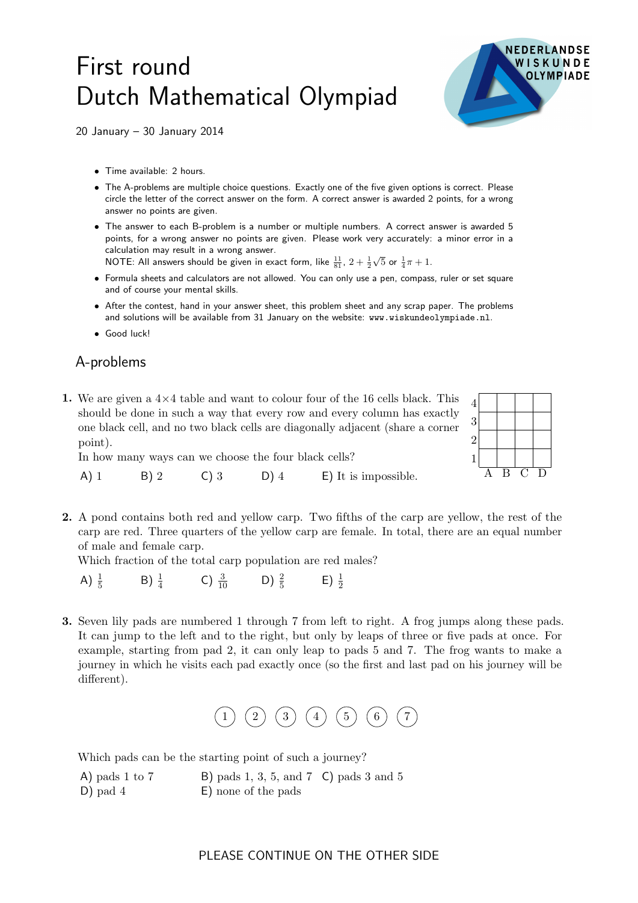## First round Dutch Mathematical Olympiad



20 January – 30 January 2014

- Time available: 2 hours.
- The A-problems are multiple choice questions. Exactly one of the five given options is correct. Please circle the letter of the correct answer on the form. A correct answer is awarded 2 points, for a wrong answer no points are given.
- The answer to each B-problem is a number or multiple numbers. A correct answer is awarded 5 points, for a wrong answer no points are given. Please work very accurately: a minor error in a calculation may result in a wrong answer.

NOTE: All answers should be given in exact form, like  $\frac{11}{81}$ ,  $2+\frac{1}{2}$  $\sqrt{5}$  or  $\frac{1}{4}\pi + 1$ .

- Formula sheets and calculators are not allowed. You can only use a pen, compass, ruler or set square and of course your mental skills.
- After the contest, hand in your answer sheet, this problem sheet and any scrap paper. The problems and solutions will be available from 31 January on the website: www.wiskundeolympiade.nl.
- Good luck!

## A-problems

1. We are given a  $4 \times 4$  table and want to colour four of the 16 cells black. This  $4$ should be done in such a way that every row and every column has exactly one black cell, and no two black cells are diagonally adjacent (share a corner point).



In how many ways can we choose the four black cells?

A) 1 B) 2 C) 3 D) 4 E) It is impossible.

2. A pond contains both red and yellow carp. Two fifths of the carp are yellow, the rest of the carp are red. Three quarters of the yellow carp are female. In total, there are an equal number of male and female carp.

Which fraction of the total carp population are red males?

- A)  $\frac{1}{5}$ B)  $\frac{1}{4}$  C)  $\frac{3}{10}$  D)  $\frac{2}{5}$  E)  $\frac{1}{2}$
- 3. Seven lily pads are numbered 1 through 7 from left to right. A frog jumps along these pads. It can jump to the left and to the right, but only by leaps of three or five pads at once. For example, starting from pad 2, it can only leap to pads 5 and 7. The frog wants to make a journey in which he visits each pad exactly once (so the first and last pad on his journey will be different).



Which pads can be the starting point of such a journey?

| A) pads 1 to $7$ | B) pads 1, 3, 5, and 7 $\mathsf{C}$ ) pads 3 and 5 |  |
|------------------|----------------------------------------------------|--|
| $D)$ pad 4       | E) none of the pads                                |  |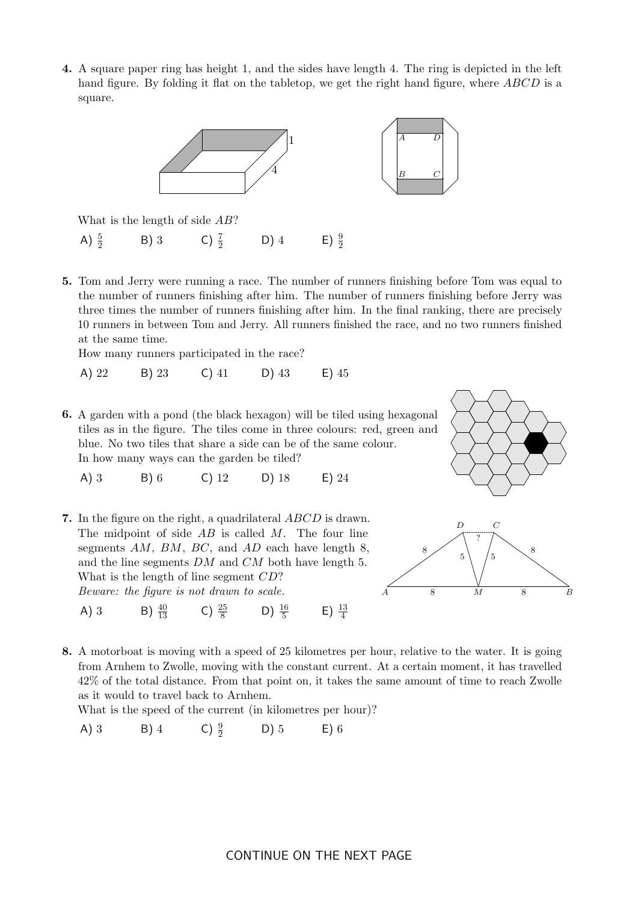4. A square paper ring has height 1, and the sides have length 4. The ring is depicted in the left hand figure. By folding it flat on the tabletop, we get the right hand figure, where ABCD is a square.



What is the length of side AB?

- A)  $\frac{5}{2}$ B) 3 C)  $\frac{7}{2}$  $D)$  4  $E) \frac{9}{2}$
- 5. Tom and Jerry were running a race. The number of runners finishing before Tom was equal to the number of runners finishing after him. The number of runners finishing before Jerry was three times the number of runners finishing after him. In the final ranking, there are precisely 10 runners in between Tom and Jerry. All runners finished the race, and no two runners finished at the same time.

How many runners participated in the race?

A) 22 B) 23 C) 41 D) 43 E) 45

6. A garden with a pond (the black hexagon) will be tiled using hexagonal tiles as in the figure. The tiles come in three colours: red, green and blue. No two tiles that share a side can be of the same colour. In how many ways can the garden be tiled?

A) 3 B) 6 C) 12 D) 18 E) 24

7. In the figure on the right, a quadrilateral ABCD is drawn. The midpoint of side  $AB$  is called  $M$ . The four line segments  $AM$ ,  $BM$ ,  $BC$ , and  $AD$  each have length 8, and the line segments DM and CM both have length 5. What is the length of line segment  $CD$ ? Beware: the figure is not drawn to scale. A) 3 B)  $\frac{40}{13}$  C)  $\frac{25}{8}$  D)  $\frac{16}{5}$  E)  $\frac{13}{4}$ 





8. A motorboat is moving with a speed of 25 kilometres per hour, relative to the water. It is going from Arnhem to Zwolle, moving with the constant current. At a certain moment, it has travelled 42% of the total distance. From that point on, it takes the same amount of time to reach Zwolle as it would to travel back to Arnhem.

What is the speed of the current (in kilometres per hour)?

A) 3 B) 4 C)  $\frac{9}{2}$ <sup>2</sup> D) 5 E) 6